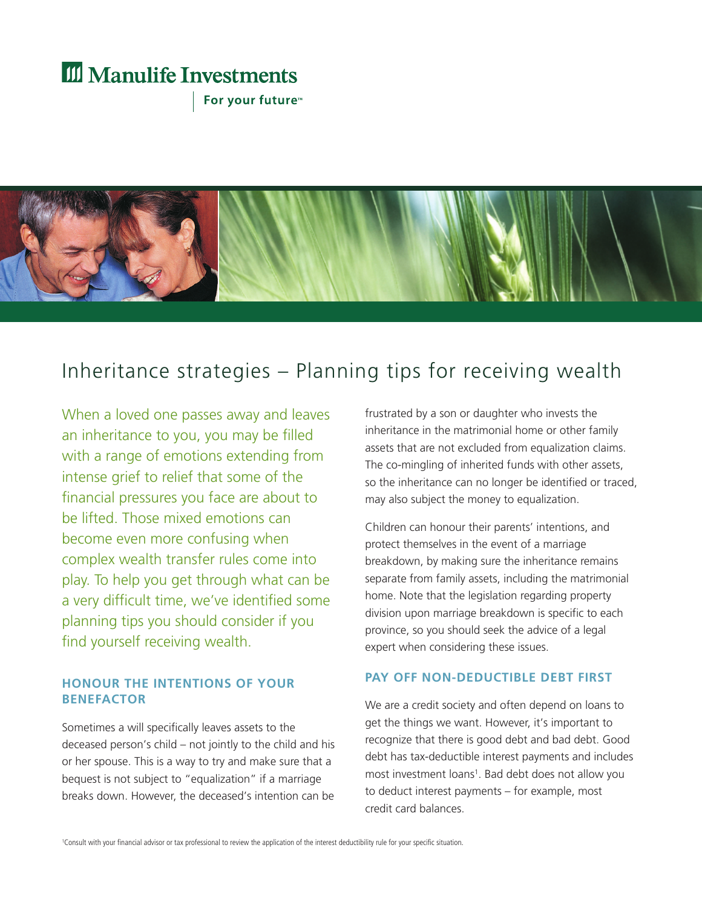# **III** Manulife Investments

For your future<sup>™</sup>



## Inheritance strategies – Planning tips for receiving wealth

When a loved one passes away and leaves an inheritance to you, you may be filled with a range of emotions extending from intense grief to relief that some of the financial pressures you face are about to be lifted. Those mixed emotions can become even more confusing when complex wealth transfer rules come into play. To help you get through what can be a very difficult time, we've identified some planning tips you should consider if you find yourself receiving wealth.

## **HONOUR THE INTENTIONS OF YOUR BENEFACTOR**

Sometimes a will specifically leaves assets to the deceased person's child – not jointly to the child and his or her spouse. This is a way to try and make sure that a bequest is not subject to "equalization" if a marriage breaks down. However, the deceased's intention can be frustrated by a son or daughter who invests the inheritance in the matrimonial home or other family assets that are not excluded from equalization claims. The co-mingling of inherited funds with other assets, so the inheritance can no longer be identified or traced, may also subject the money to equalization.

Children can honour their parents' intentions, and protect themselves in the event of a marriage breakdown, by making sure the inheritance remains separate from family assets, including the matrimonial home. Note that the legislation regarding property division upon marriage breakdown is specific to each province, so you should seek the advice of a legal expert when considering these issues.

#### **PAY OFF NON-DEDUCTIBLE DEBT FIRST**

We are a credit society and often depend on loans to get the things we want. However, it's important to recognize that there is good debt and bad debt. Good debt has tax-deductible interest payments and includes most investment loans<sup>1</sup>. Bad debt does not allow you to deduct interest payments – for example, most credit card balances.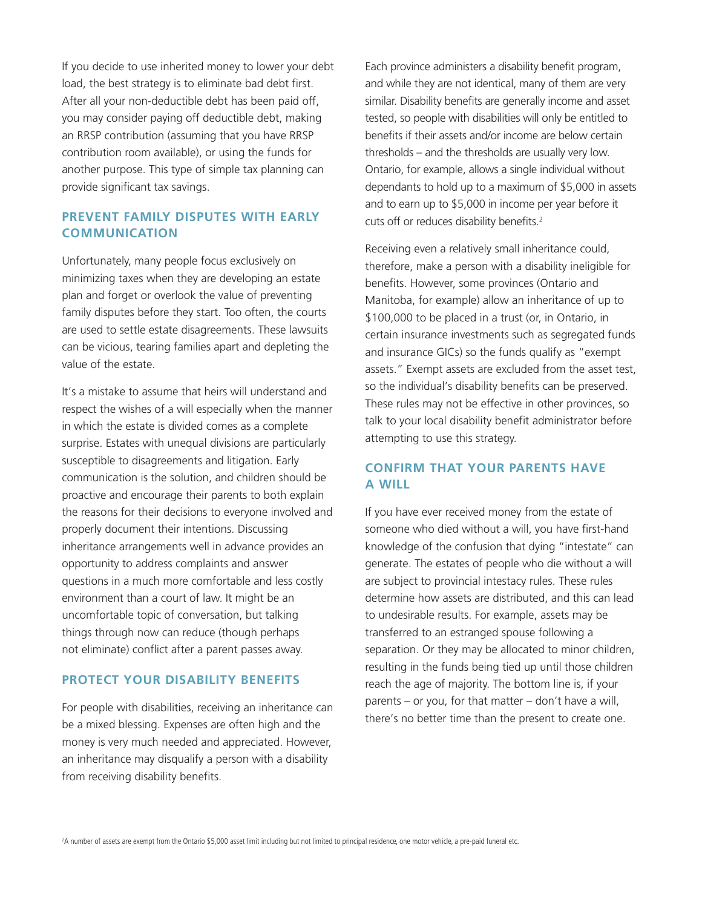If you decide to use inherited money to lower your debt load, the best strategy is to eliminate bad debt first. After all your non-deductible debt has been paid off, you may consider paying off deductible debt, making an RRSP contribution (assuming that you have RRSP contribution room available), or using the funds for another purpose. This type of simple tax planning can provide significant tax savings.

### **PREVENT FAMILY DISPUTES WITH EARLY COMMUNICATION**

Unfortunately, many people focus exclusively on minimizing taxes when they are developing an estate plan and forget or overlook the value of preventing family disputes before they start. Too often, the courts are used to settle estate disagreements. These lawsuits can be vicious, tearing families apart and depleting the value of the estate.

It's a mistake to assume that heirs will understand and respect the wishes of a will especially when the manner in which the estate is divided comes as a complete surprise. Estates with unequal divisions are particularly susceptible to disagreements and litigation. Early communication is the solution, and children should be proactive and encourage their parents to both explain the reasons for their decisions to everyone involved and properly document their intentions. Discussing inheritance arrangements well in advance provides an opportunity to address complaints and answer questions in a much more comfortable and less costly environment than a court of law. It might be an uncomfortable topic of conversation, but talking things through now can reduce (though perhaps not eliminate) conflict after a parent passes away.

#### **PROTECT YOUR DISABILITY BENEFITS**

For people with disabilities, receiving an inheritance can be a mixed blessing. Expenses are often high and the money is very much needed and appreciated. However, an inheritance may disqualify a person with a disability from receiving disability benefits.

Each province administers a disability benefit program, and while they are not identical, many of them are very similar. Disability benefits are generally income and asset tested, so people with disabilities will only be entitled to benefits if their assets and/or income are below certain thresholds – and the thresholds are usually very low. Ontario, for example, allows a single individual without dependants to hold up to a maximum of \$5,000 in assets and to earn up to \$5,000 in income per year before it cuts off or reduces disability benefits. 2

Receiving even a relatively small inheritance could, therefore, make a person with a disability ineligible for benefits. However, some provinces (Ontario and Manitoba, for example) allow an inheritance of up to \$100,000 to be placed in a trust (or, in Ontario, in certain insurance investments such as segregated funds and insurance GICs) so the funds qualify as "exempt assets." Exempt assets are excluded from the asset test, so the individual's disability benefits can be preserved. These rules may not be effective in other provinces, so talk to your local disability benefit administrator before attempting to use this strategy.

### **CONFIRM THAT YOUR PARENTS HAVE A WILL**

If you have ever received money from the estate of someone who died without a will, you have first-hand knowledge of the confusion that dying "intestate" can generate. The estates of people who die without a will are subject to provincial intestacy rules. These rules determine how assets are distributed, and this can lead to undesirable results. For example, assets may be transferred to an estranged spouse following a separation. Or they may be allocated to minor children, resulting in the funds being tied up until those children reach the age of majority. The bottom line is, if your parents – or you, for that matter – don't have a will, there's no better time than the present to create one.